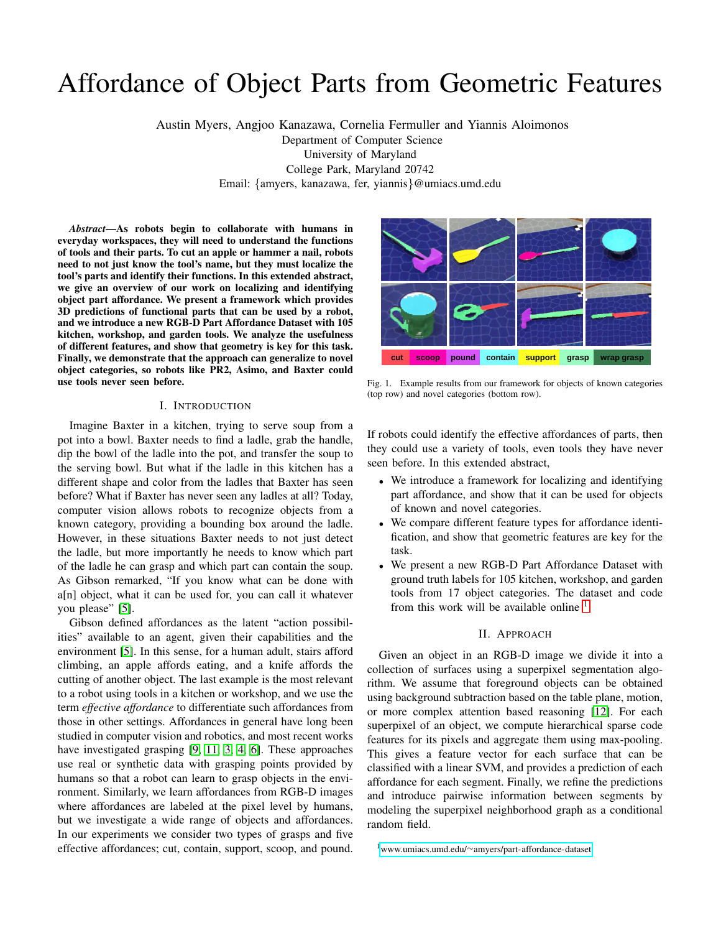# Affordance of Object Parts from Geometric Features

Austin Myers, Angjoo Kanazawa, Cornelia Fermuller and Yiannis Aloimonos Department of Computer Science University of Maryland College Park, Maryland 20742 Email: {amyers, kanazawa, fer, yiannis}@umiacs.umd.edu

*Abstract*—As robots begin to collaborate with humans in everyday workspaces, they will need to understand the functions of tools and their parts. To cut an apple or hammer a nail, robots need to not just know the tool's name, but they must localize the tool's parts and identify their functions. In this extended abstract, we give an overview of our work on localizing and identifying object part affordance. We present a framework which provides 3D predictions of functional parts that can be used by a robot, and we introduce a new RGB-D Part Affordance Dataset with 105 kitchen, workshop, and garden tools. We analyze the usefulness of different features, and show that geometry is key for this task. Finally, we demonstrate that the approach can generalize to novel object categories, so robots like PR2, Asimo, and Baxter could use tools never seen before.

# I. INTRODUCTION

Imagine Baxter in a kitchen, trying to serve soup from a pot into a bowl. Baxter needs to find a ladle, grab the handle, dip the bowl of the ladle into the pot, and transfer the soup to the serving bowl. But what if the ladle in this kitchen has a different shape and color from the ladles that Baxter has seen before? What if Baxter has never seen any ladles at all? Today, computer vision allows robots to recognize objects from a known category, providing a bounding box around the ladle. However, in these situations Baxter needs to not just detect the ladle, but more importantly he needs to know which part of the ladle he can grasp and which part can contain the soup. As Gibson remarked, "If you know what can be done with a[n] object, what it can be used for, you can call it whatever you please" [\[5\]](#page-2-0).

Gibson defined affordances as the latent "action possibilities" available to an agent, given their capabilities and the environment [\[5\]](#page-2-0). In this sense, for a human adult, stairs afford climbing, an apple affords eating, and a knife affords the cutting of another object. The last example is the most relevant to a robot using tools in a kitchen or workshop, and we use the term *effective affordance* to differentiate such affordances from those in other settings. Affordances in general have long been studied in computer vision and robotics, and most recent works have investigated grasping [\[9,](#page-2-1) [11,](#page-2-2) [3,](#page-2-3) [4,](#page-2-4) [6\]](#page-2-5). These approaches use real or synthetic data with grasping points provided by humans so that a robot can learn to grasp objects in the environment. Similarly, we learn affordances from RGB-D images where affordances are labeled at the pixel level by humans, but we investigate a wide range of objects and affordances. In our experiments we consider two types of grasps and five effective affordances; cut, contain, support, scoop, and pound.



<span id="page-0-1"></span>Fig. 1. Example results from our framework for objects of known categories (top row) and novel categories (bottom row).

If robots could identify the effective affordances of parts, then they could use a variety of tools, even tools they have never seen before. In this extended abstract,

- We introduce a framework for localizing and identifying part affordance, and show that it can be used for objects of known and novel categories.
- We compare different feature types for affordance identification, and show that geometric features are key for the task.
- We present a new RGB-D Part Affordance Dataset with ground truth labels for 105 kitchen, workshop, and garden tools from 17 object categories. The dataset and code from this work will be available online  $<sup>1</sup>$  $<sup>1</sup>$  $<sup>1</sup>$ .</sup>

#### II. APPROACH

Given an object in an RGB-D image we divide it into a collection of surfaces using a superpixel segmentation algorithm. We assume that foreground objects can be obtained using background subtraction based on the table plane, motion, or more complex attention based reasoning [\[12\]](#page-2-6). For each superpixel of an object, we compute hierarchical sparse code features for its pixels and aggregate them using max-pooling. This gives a feature vector for each surface that can be classified with a linear SVM, and provides a prediction of each affordance for each segment. Finally, we refine the predictions and introduce pairwise information between segments by modeling the superpixel neighborhood graph as a conditional random field.

<span id="page-0-0"></span><sup>1</sup>www.umiacs.umd.edu/∼[amyers/part-affordance-dataset](www.umiacs.umd.edu/~amyers/part-affordance-dataset)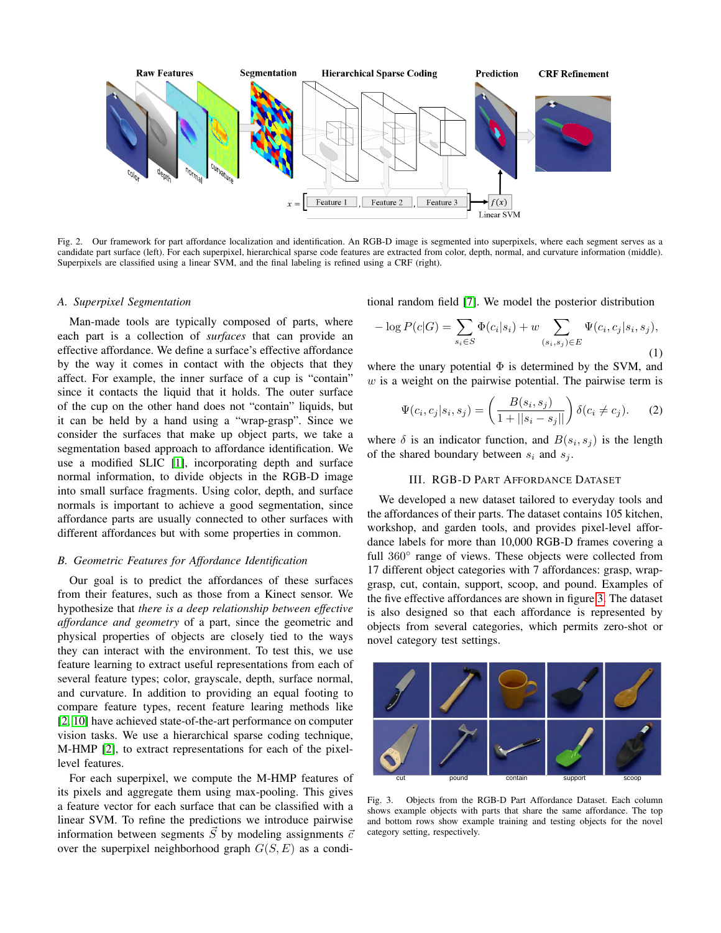

Fig. 2. Our framework for part affordance localization and identification. An RGB-D image is segmented into superpixels, where each segment serves as a candidate part surface (left). For each superpixel, hierarchical sparse code features are extracted from color, depth, normal, and curvature information (middle). Superpixels are classified using a linear SVM, and the final labeling is refined using a CRF (right).

#### *A. Superpixel Segmentation*

Man-made tools are typically composed of parts, where each part is a collection of *surfaces* that can provide an effective affordance. We define a surface's effective affordance by the way it comes in contact with the objects that they affect. For example, the inner surface of a cup is "contain" since it contacts the liquid that it holds. The outer surface of the cup on the other hand does not "contain" liquids, but it can be held by a hand using a "wrap-grasp". Since we consider the surfaces that make up object parts, we take a segmentation based approach to affordance identification. We use a modified SLIC [\[1\]](#page-2-7), incorporating depth and surface normal information, to divide objects in the RGB-D image into small surface fragments. Using color, depth, and surface normals is important to achieve a good segmentation, since affordance parts are usually connected to other surfaces with different affordances but with some properties in common.

## *B. Geometric Features for Affordance Identification*

Our goal is to predict the affordances of these surfaces from their features, such as those from a Kinect sensor. We hypothesize that *there is a deep relationship between effective affordance and geometry* of a part, since the geometric and physical properties of objects are closely tied to the ways they can interact with the environment. To test this, we use feature learning to extract useful representations from each of several feature types; color, grayscale, depth, surface normal, and curvature. In addition to providing an equal footing to compare feature types, recent feature learing methods like [\[2,](#page-2-8) [10\]](#page-2-9) have achieved state-of-the-art performance on computer vision tasks. We use a hierarchical sparse coding technique, M-HMP [\[2\]](#page-2-8), to extract representations for each of the pixellevel features.

For each superpixel, we compute the M-HMP features of its pixels and aggregate them using max-pooling. This gives a feature vector for each surface that can be classified with a linear SVM. To refine the predictions we introduce pairwise information between segments  $\vec{S}$  by modeling assignments  $\vec{c}$ over the superpixel neighborhood graph  $G(S, E)$  as a conditional random field [\[7\]](#page-2-10). We model the posterior distribution

$$
-\log P(c|G) = \sum_{s_i \in S} \Phi(c_i|s_i) + w \sum_{(s_i, s_j) \in E} \Psi(c_i, c_j|s_i, s_j),
$$
\n(1)

where the unary potential  $\Phi$  is determined by the SVM, and  $w$  is a weight on the pairwise potential. The pairwise term is

$$
\Psi(c_i, c_j | s_i, s_j) = \left(\frac{B(s_i, s_j)}{1 + ||s_i - s_j||}\right) \delta(c_i \neq c_j).
$$
 (2)

where  $\delta$  is an indicator function, and  $B(s_i, s_j)$  is the length of the shared boundary between  $s_i$  and  $s_j$ .

# III. RGB-D PART AFFORDANCE DATASET

We developed a new dataset tailored to everyday tools and the affordances of their parts. The dataset contains 105 kitchen, workshop, and garden tools, and provides pixel-level affordance labels for more than 10,000 RGB-D frames covering a full 360° range of views. These objects were collected from 17 different object categories with 7 affordances: grasp, wrapgrasp, cut, contain, support, scoop, and pound. Examples of the five effective affordances are shown in figure [3.](#page-1-0) The dataset is also designed so that each affordance is represented by objects from several categories, which permits zero-shot or novel category test settings.



<span id="page-1-0"></span>Fig. 3. Objects from the RGB-D Part Affordance Dataset. Each column shows example objects with parts that share the same affordance. The top and bottom rows show example training and testing objects for the novel category setting, respectively.